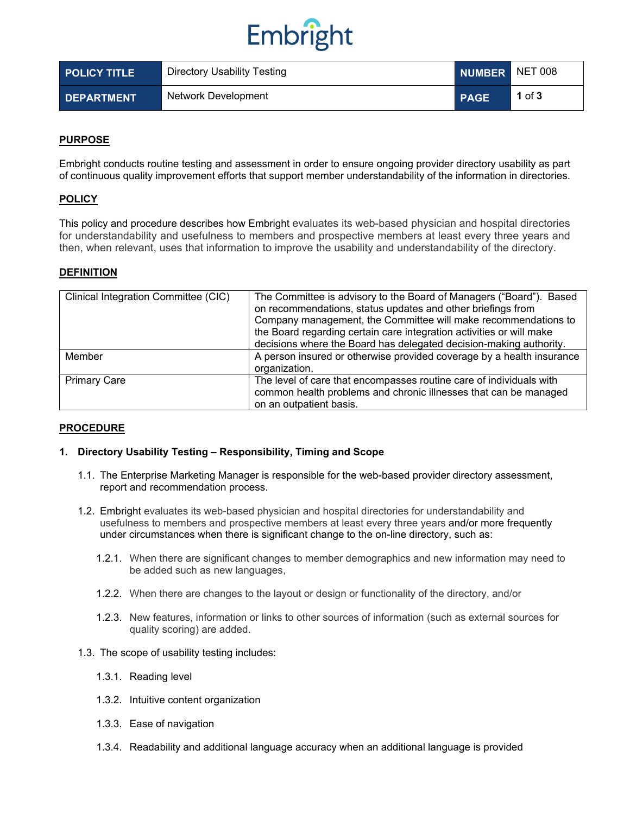# Embright

| <b>POLICY TITLE</b> | Directory Usability Testing | NUMBER NET 008 |          |
|---------------------|-----------------------------|----------------|----------|
| <b>DEPARTMENT</b>   | Network Development         | <b>PAGE</b>    | 1 of $3$ |

## **PURPOSE**

Embright conducts routine testing and assessment in order to ensure ongoing provider directory usability as part of continuous quality improvement efforts that support member understandability of the information in directories.

### **POLICY**

This policy and procedure describes how Embright evaluates its web-based physician and hospital directories for understandability and usefulness to members and prospective members at least every three years and then, when relevant, uses that information to improve the usability and understandability of the directory.

### **DEFINITION**

| Clinical Integration Committee (CIC) | The Committee is advisory to the Board of Managers ("Board"). Based<br>on recommendations, status updates and other briefings from<br>Company management, the Committee will make recommendations to<br>the Board regarding certain care integration activities or will make<br>decisions where the Board has delegated decision-making authority. |
|--------------------------------------|----------------------------------------------------------------------------------------------------------------------------------------------------------------------------------------------------------------------------------------------------------------------------------------------------------------------------------------------------|
| Member                               | A person insured or otherwise provided coverage by a health insurance<br>organization.                                                                                                                                                                                                                                                             |
| <b>Primary Care</b>                  | The level of care that encompasses routine care of individuals with<br>common health problems and chronic illnesses that can be managed<br>on an outpatient basis.                                                                                                                                                                                 |

#### **PROCEDURE**

#### **1. Directory Usability Testing – Responsibility, Timing and Scope**

- 1.1. The Enterprise Marketing Manager is responsible for the web-based provider directory assessment, report and recommendation process.
- 1.2. Embright evaluates its web-based physician and hospital directories for understandability and usefulness to members and prospective members at least every three years and/or more frequently under circumstances when there is significant change to the on-line directory, such as:
	- 1.2.1. When there are significant changes to member demographics and new information may need to be added such as new languages,
	- 1.2.2. When there are changes to the layout or design or functionality of the directory, and/or
	- 1.2.3. New features, information or links to other sources of information (such as external sources for quality scoring) are added.
- 1.3. The scope of usability testing includes:
	- 1.3.1. Reading level
	- 1.3.2. Intuitive content organization
	- 1.3.3. Ease of navigation
	- 1.3.4. Readability and additional language accuracy when an additional language is provided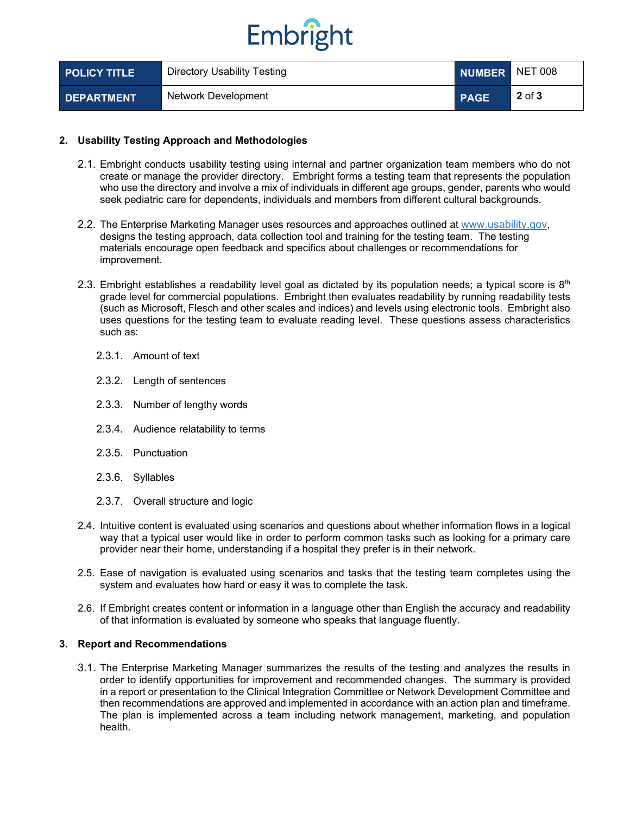# Embright

| <b>POLICY TITLE</b> | Directory Usability Testing | NUMBER NET 008 |            |
|---------------------|-----------------------------|----------------|------------|
| <b>DEPARTMENT</b>   | Network Development         | <b>PAGE</b>    | $2$ of $3$ |

### **2. Usability Testing Approach and Methodologies**

- 2.1. Embright conducts usability testing using internal and partner organization team members who do not create or manage the provider directory. Embright forms a testing team that represents the population who use the directory and involve a mix of individuals in different age groups, gender, parents who would seek pediatric care for dependents, individuals and members from different cultural backgrounds.
- 2.2. The Enterprise Marketing Manager uses resources and approaches outlined at [www.usability.gov,](http://www.usability.gov/) designs the testing approach, data collection tool and training for the testing team. The testing materials encourage open feedback and specifics about challenges or recommendations for improvement.
- 2.3. Embright establishes a readability level goal as dictated by its population needs; a typical score is  $8<sup>th</sup>$ grade level for commercial populations. Embright then evaluates readability by running readability tests (such as Microsoft, Flesch and other scales and indices) and levels using electronic tools. Embright also uses questions for the testing team to evaluate reading level. These questions assess characteristics such as:
	- 2.3.1. Amount of text
	- 2.3.2. Length of sentences
	- 2.3.3. Number of lengthy words
	- 2.3.4. Audience relatability to terms
	- 2.3.5. Punctuation
	- 2.3.6. Syllables
	- 2.3.7. Overall structure and logic
- 2.4. Intuitive content is evaluated using scenarios and questions about whether information flows in a logical way that a typical user would like in order to perform common tasks such as looking for a primary care provider near their home, understanding if a hospital they prefer is in their network.
- 2.5. Ease of navigation is evaluated using scenarios and tasks that the testing team completes using the system and evaluates how hard or easy it was to complete the task.
- 2.6. If Embright creates content or information in a language other than English the accuracy and readability of that information is evaluated by someone who speaks that language fluently.

#### **3. Report and Recommendations**

3.1. The Enterprise Marketing Manager summarizes the results of the testing and analyzes the results in order to identify opportunities for improvement and recommended changes. The summary is provided in a report or presentation to the Clinical Integration Committee or Network Development Committee and then recommendations are approved and implemented in accordance with an action plan and timeframe. The plan is implemented across a team including network management, marketing, and population health.